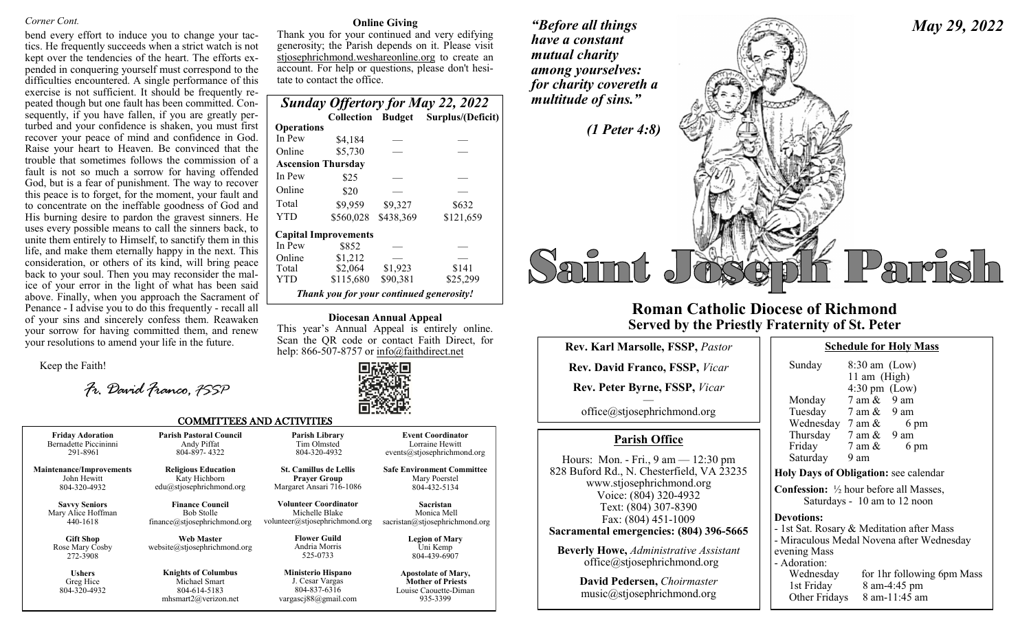#### *Corner Cont.*

bend every effort to induce you to change your tactics. He frequently succeeds when a strict watch is not kept over the tendencies of the heart. The efforts expended in conquering yourself must correspond to the difficulties encountered. A single performance of this exercise is not sufficient. It should be frequently repeated though but one fault has been committed. Consequently, if you have fallen, if you are greatly perturbed and your confidence is shaken, you must first recover your peace of mind and confidence in God. Raise your heart to Heaven. Be convinced that the trouble that sometimes follows the commission of a fault is not so much a sorrow for having offended God, but is a fear of punishment. The way to recover this peace is to forget, for the moment, your fault and to concentrate on the ineffable goodness of God and His burning desire to pardon the gravest sinners. He uses every possible means to call the sinners back, to unite them entirely to Himself, to sanctify them in this life, and make them eternally happy in the next. This consideration, or others of its kind, will bring peace back to your soul. Then you may reconsider the malice of your error in the light of what has been said above. Finally, when you approach the Sacrament of Penance - I advise you to do this frequently - recall all of your sins and sincerely confess them. Reawaken your sorrow for having committed them, and renew your resolutions to amend your life in the future.

Keep the Faith!

*Fr. David Franco, FSSP*

#### **Online Giving**

Thank you for your continued and very edifying generosity; the Parish depends on it. Please visit stjosephrichmond.weshareonline.org to create an account. For help or questions, please don't hesitate to contact the office.

| <b>Sunday Offertory for May 22, 2022</b> |                                          |           |                                     |  |  |  |
|------------------------------------------|------------------------------------------|-----------|-------------------------------------|--|--|--|
|                                          |                                          |           | Collection Budget Surplus/(Deficit) |  |  |  |
| <b>Operations</b>                        |                                          |           |                                     |  |  |  |
| In Pew                                   | \$4,184                                  |           |                                     |  |  |  |
| Online                                   | \$5,730                                  |           |                                     |  |  |  |
|                                          | <b>Ascension Thursday</b>                |           |                                     |  |  |  |
| In Pew                                   | \$25                                     |           |                                     |  |  |  |
| Online                                   | \$20                                     |           |                                     |  |  |  |
| Total                                    | \$9,959                                  | \$9,327   | \$632                               |  |  |  |
| YTD                                      | \$560,028                                | \$438,369 | \$121,659                           |  |  |  |
|                                          | <b>Capital Improvements</b>              |           |                                     |  |  |  |
| In Pew                                   | \$852                                    |           |                                     |  |  |  |
| Online                                   | \$1,212                                  |           |                                     |  |  |  |
| Total                                    | \$2,064                                  | \$1,923   | \$141                               |  |  |  |
| YTD                                      | \$115,680                                | \$90,381  | \$25,299                            |  |  |  |
|                                          | Thank you for your continued generosity! |           |                                     |  |  |  |

**Diocesan Annual Appeal**

This year's Annual Appeal is entirely online. Scan the QR code or contact Faith Direct, for help: 866-507-8757 or info@faithdirect.net



#### COMMITTEES AND ACTIVITIES

| <b>Friday Adoration</b>                         | <b>Parish Pastoral Council</b>                                                          | <b>Parish Library</b>                                                                | <b>Event Coordinator</b>                                                                    |  |
|-------------------------------------------------|-----------------------------------------------------------------------------------------|--------------------------------------------------------------------------------------|---------------------------------------------------------------------------------------------|--|
| Bernadette Piccininni                           | Andy Piffat                                                                             | Tim Olmsted                                                                          | Lorraine Hewitt                                                                             |  |
| 291-8961                                        | 804-897-4322                                                                            | 804-320-4932                                                                         | events@stjosephrichmond.org                                                                 |  |
| <b>Maintenance/Improvements</b>                 | <b>Religious Education</b>                                                              | <b>St. Camillus de Lellis</b>                                                        | <b>Safe Environment Committee</b>                                                           |  |
| John Hewitt                                     | Katy Hichborn                                                                           | <b>Prayer Group</b>                                                                  | Mary Poerstel                                                                               |  |
| 804-320-4932                                    | $edu(a)$ stjosephrichmond.org                                                           | Margaret Ansari 716-1086                                                             | 804-432-5134                                                                                |  |
| <b>Savvy Seniors</b>                            | <b>Finance Council</b>                                                                  | Volunteer Coordinator                                                                | Sacristan                                                                                   |  |
| Mary Alice Hoffman                              | <b>Bob Stolle</b>                                                                       | Michelle Blake                                                                       | Monica Mell                                                                                 |  |
| 440-1618                                        | finance@stjosephrichmond.org                                                            | volunteer@stjosephrichmond.org                                                       | sacristan@stjosephrichmond.org                                                              |  |
| <b>Gift Shop</b><br>Rose Mary Cosby<br>272-3908 | <b>Web Master</b><br>website@stjosephrichmond.org                                       | <b>Flower Guild</b><br>Andria Morris<br>525-0733                                     | <b>Legion of Mary</b><br>Uni Kemp<br>804-439-6907                                           |  |
| <b>Ushers</b><br>Greg Hice<br>804-320-4932      | <b>Knights of Columbus</b><br>Michael Smart<br>804-614-5183<br>mhsmart $2@$ verizon.net | <b>Ministerio Hispano</b><br>J. Cesar Vargas<br>804-837-6316<br>vargascj88@gmail.com | <b>Apostolate of Mary,</b><br><b>Mother of Priests</b><br>Louise Caouette-Diman<br>935-3399 |  |



## **Roman Catholic Diocese of Richmond Served by the Priestly Fraternity of St. Peter**

| <b>Rev. Karl Marsolle, FSSP, Pastor</b>                                                                                                                                                                                                           |  |  |  |  |
|---------------------------------------------------------------------------------------------------------------------------------------------------------------------------------------------------------------------------------------------------|--|--|--|--|
| <b>Rev. David Franco, FSSP, Vicar</b>                                                                                                                                                                                                             |  |  |  |  |
| Rev. Peter Byrne, FSSP, Vicar                                                                                                                                                                                                                     |  |  |  |  |
| office@stjosephrichmond.org                                                                                                                                                                                                                       |  |  |  |  |
| <b>Parish Office</b>                                                                                                                                                                                                                              |  |  |  |  |
| Hours: Mon. - Fri., $9 \text{ am} - 12:30 \text{ pm}$<br>828 Buford Rd., N. Chesterfield, VA 23235<br>www.stjosephrichmond.org<br>Voice: (804) 320-4932<br>Text: (804) 307-8390<br>Fax: (804) 451-1009<br>Sacramental emergencies: (804) 396-5665 |  |  |  |  |
| <b>Beverly Howe, Administrative Assistant</b><br>office@stjosephrichmond.org                                                                                                                                                                      |  |  |  |  |
| David Pedersen, Choirmaster<br>music@stjosephrichmond.org                                                                                                                                                                                         |  |  |  |  |

| Sunday            | $8:30$ am (Low)<br>11 am (High)                                                                                                                                 |
|-------------------|-----------------------------------------------------------------------------------------------------------------------------------------------------------------|
| Saturday 9 am     | $4:30 \text{ pm}$ (Low)<br>Monday 7 am & 9 am<br>Tuesday 7 am & 9 am<br>Wednesday $7 \text{ am } \& 6 \text{ pm}$<br>Thursday 7 am & 9 am<br>Friday 7 am & 6 pm |
|                   | Holy Days of Obligation: see calendar                                                                                                                           |
|                   | <b>Confession:</b> 1/2 hour before all Masses,<br>Saturdays - 10 am to 12 noon                                                                                  |
| <b>Devotions:</b> |                                                                                                                                                                 |
|                   | - 1st Sat. Rosary & Meditation after Mass                                                                                                                       |
|                   | - Miraculous Medal Novena after Wednesday                                                                                                                       |
| evening Mass      |                                                                                                                                                                 |
| - Adoration:      |                                                                                                                                                                 |
|                   | Wednesday for 1hr following 6pm Mass                                                                                                                            |
|                   | 1st Friday 8 am-4:45 pm                                                                                                                                         |
|                   | Other Fridays $8 \text{ am}-11:45 \text{ am}$                                                                                                                   |